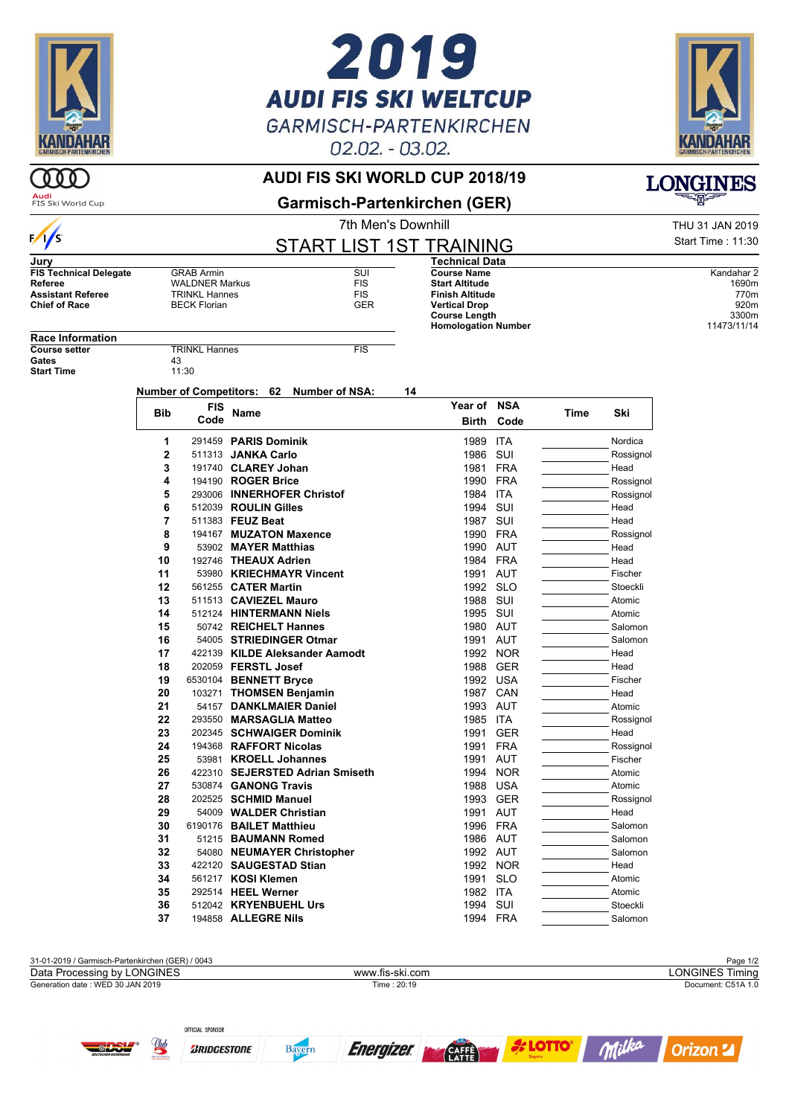

# 2019 **AUDI FIS SKI WELTCUP GARMISCH-PARTENKIRCHEN** 02.02. - 03.02.



**LONGINES** 

#### **AUDI FIS SKI WORLD CUP 2018/19**

 $000$ **Audi**<br>FIS Ski World Cup

 $\sqrt{s}$ 

**Garmisch-Partenkirchen (GER)**

7th Men's Downhill **THU 31 JAN 2019** START LIST 1ST TRAINING

|                               |                       | START LIS |            |
|-------------------------------|-----------------------|-----------|------------|
| Jury                          |                       |           |            |
| <b>FIS Technical Delegate</b> | <b>GRAB Armin</b>     |           | SUI        |
| Referee                       | <b>WALDNER Markus</b> |           | <b>FIS</b> |
| <b>Assistant Referee</b>      | <b>TRINKL Hannes</b>  |           | <b>FIS</b> |
| <b>Chief of Race</b>          | <b>BECK Florian</b>   |           | <b>GER</b> |

**Course Name** Kandahar 2<br> **Start Altitude** 1690m **Start Altitude** 1690m<br> **Start Altitude** 1690m<br> **Finish Altitude** 770m **Finish Altitude** 770m **Vertical Drop** 920m<br> **Course Length** 8300m **Course Length 3300m**<br> **Homologation Number** 311473/11/14 **Homologation Number** 

**Technical Data**

Start Time : 11:30

**Race Information**

**Start Time** 

**COURSE SETTERINKL Hannes** FIS<br>43 Gates 43<br>Start Time 11:30

**Number of Competitors: 62 Number of NSA: 14**

| <b>Bib</b>     | <b>FIS</b> | <b>Name</b>                     | Year of NSA  |            |             | Ski       |
|----------------|------------|---------------------------------|--------------|------------|-------------|-----------|
|                | Code       |                                 | <b>Birth</b> | Code       | <b>Time</b> |           |
| 1              |            | 291459 PARIS Dominik            | 1989         | <b>ITA</b> |             | Nordica   |
| $\overline{2}$ |            | 511313 JANKA Carlo              | 1986         | SUI        |             | Rossignol |
| 3              |            | 191740 CLAREY Johan             | 1981         | <b>FRA</b> |             | Head      |
| 4              |            | 194190 ROGER Brice              | 1990         | <b>FRA</b> |             | Rossignol |
| 5              |            | 293006 INNERHOFER Christof      | 1984         | <b>ITA</b> |             | Rossignol |
| 6              |            | 512039 ROULIN Gilles            | 1994         | SUI        |             | Head      |
| $\overline{7}$ |            | 511383 FEUZ Beat                | 1987         | SUI        |             | Head      |
| 8              |            | 194167 MUZATON Maxence          | 1990         | <b>FRA</b> |             | Rossignol |
| 9              |            | 53902 MAYER Matthias            | 1990         | AUT        |             | Head      |
| 10             |            | 192746 THEAUX Adrien            | 1984         | <b>FRA</b> |             | Head      |
| 11             |            | 53980 KRIECHMAYR Vincent        | 1991         | <b>AUT</b> |             | Fischer   |
| 12             |            | 561255 CATER Martin             | 1992 SLO     |            |             | Stoeckli  |
| 13             |            | 511513 CAVIEZEL Mauro           | 1988         | SUI        |             | Atomic    |
| 14             |            | 512124 HINTERMANN Niels         | 1995         | SUI        |             | Atomic    |
| 15             |            | 50742 REICHELT Hannes           | 1980         | AUT        |             | Salomon   |
| 16             |            | 54005 STRIEDINGER Otmar         | 1991         | <b>AUT</b> |             | Salomon   |
| 17             |            | 422139 KILDE Aleksander Aamodt  | 1992         | <b>NOR</b> |             | Head      |
| 18             |            | 202059 FERSTL Josef             | 1988         | <b>GER</b> |             | Head      |
| 19             |            | 6530104 BENNETT Bryce           | 1992         | <b>USA</b> |             | Fischer   |
| 20             |            | 103271 THOMSEN Benjamin         | 1987         | CAN        |             | Head      |
| 21             |            | 54157 DANKLMAIER Daniel         | 1993         | AUT        |             | Atomic    |
| 22             |            | 293550 MARSAGLIA Matteo         | 1985         | <b>ITA</b> |             | Rossignol |
| 23             |            | 202345 SCHWAIGER Dominik        | 1991         | <b>GER</b> |             | Head      |
| 24             |            | 194368 RAFFORT Nicolas          | 1991         | <b>FRA</b> |             | Rossignol |
| 25             |            | 53981 KROELL Johannes           | 1991         | <b>AUT</b> |             | Fischer   |
| 26             |            | 422310 SEJERSTED Adrian Smiseth | 1994         | <b>NOR</b> |             | Atomic    |
| 27             |            | 530874 GANONG Travis            | 1988         | <b>USA</b> |             | Atomic    |
| 28             |            | 202525 SCHMID Manuel            | 1993         | <b>GER</b> |             | Rossignol |
| 29             |            | 54009 WALDER Christian          | 1991         | <b>AUT</b> |             | Head      |
| 30             |            | 6190176 BAILET Matthieu         | 1996         | <b>FRA</b> |             | Salomon   |
| 31             |            | 51215 BAUMANN Romed             | 1986 AUT     |            |             | Salomon   |
| 32             |            | 54080 NEUMAYER Christopher      | 1992 AUT     |            |             | Salomon   |
| 33             |            | 422120 SAUGESTAD Stian          |              | 1992 NOR   |             | Head      |
| 34             |            | 561217 KOSI Klemen              | 1991         | <b>SLO</b> |             | Atomic    |
| 35             |            | 292514 HEEL Werner              | 1982         | <b>ITA</b> |             | Atomic    |
| 36             |            | 512042 KRYENBUEHL Urs           | 1994         | SUI        |             | Stoeckli  |
| 37             |            | 194858 ALLEGRE Nils             | 1994         | <b>FRA</b> |             | Salomon   |



**Energizer** 

**CAFFE** 

Bayern

**ZRIDGESTONE** 

Milka

**Orizon 2** 

*L***OTTO**®